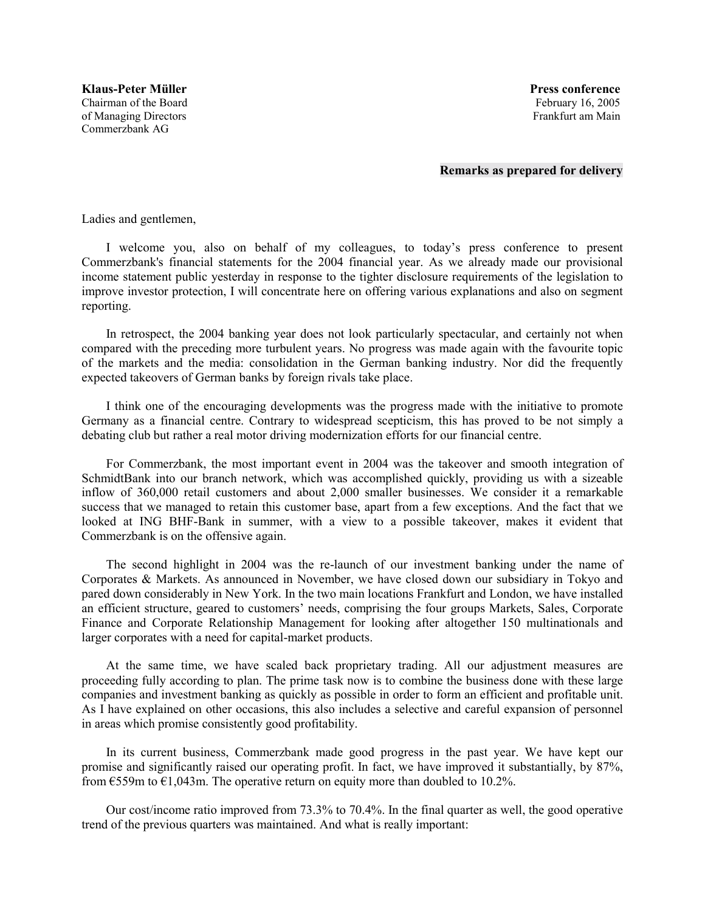## **Remarks as prepared for delivery**

Ladies and gentlemen,

I welcome you, also on behalf of my colleagues, to todayís press conference to present Commerzbank's financial statements for the 2004 financial year. As we already made our provisional income statement public yesterday in response to the tighter disclosure requirements of the legislation to improve investor protection, I will concentrate here on offering various explanations and also on segment reporting.

In retrospect, the 2004 banking year does not look particularly spectacular, and certainly not when compared with the preceding more turbulent years. No progress was made again with the favourite topic of the markets and the media: consolidation in the German banking industry. Nor did the frequently expected takeovers of German banks by foreign rivals take place.

I think one of the encouraging developments was the progress made with the initiative to promote Germany as a financial centre. Contrary to widespread scepticism, this has proved to be not simply a debating club but rather a real motor driving modernization efforts for our financial centre.

For Commerzbank, the most important event in 2004 was the takeover and smooth integration of SchmidtBank into our branch network, which was accomplished quickly, providing us with a sizeable inflow of 360,000 retail customers and about 2,000 smaller businesses. We consider it a remarkable success that we managed to retain this customer base, apart from a few exceptions. And the fact that we looked at ING BHF-Bank in summer, with a view to a possible takeover, makes it evident that Commerzbank is on the offensive again.

The second highlight in 2004 was the re-launch of our investment banking under the name of Corporates & Markets. As announced in November, we have closed down our subsidiary in Tokyo and pared down considerably in New York. In the two main locations Frankfurt and London, we have installed an efficient structure, geared to customersí needs, comprising the four groups Markets, Sales, Corporate Finance and Corporate Relationship Management for looking after altogether 150 multinationals and larger corporates with a need for capital-market products.

At the same time, we have scaled back proprietary trading. All our adjustment measures are proceeding fully according to plan. The prime task now is to combine the business done with these large companies and investment banking as quickly as possible in order to form an efficient and profitable unit. As I have explained on other occasions, this also includes a selective and careful expansion of personnel in areas which promise consistently good profitability.

In its current business, Commerzbank made good progress in the past year. We have kept our promise and significantly raised our operating profit. In fact, we have improved it substantially, by 87%, from  $\epsilon$ 559m to  $\epsilon$ 1,043m. The operative return on equity more than doubled to 10.2%.

Our cost/income ratio improved from 73.3% to 70.4%. In the final quarter as well, the good operative trend of the previous quarters was maintained. And what is really important: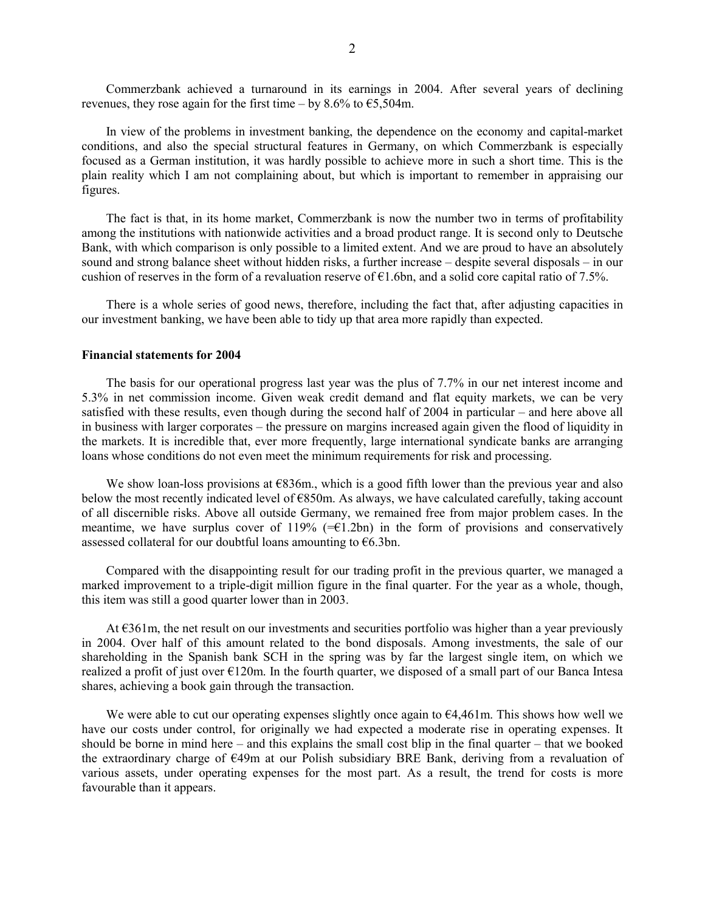Commerzbank achieved a turnaround in its earnings in 2004. After several years of declining revenues, they rose again for the first time – by 8.6% to  $\text{\textsterling}5,504\text{m}$ .

In view of the problems in investment banking, the dependence on the economy and capital-market conditions, and also the special structural features in Germany, on which Commerzbank is especially focused as a German institution, it was hardly possible to achieve more in such a short time. This is the plain reality which I am not complaining about, but which is important to remember in appraising our figures.

The fact is that, in its home market, Commerzbank is now the number two in terms of profitability among the institutions with nationwide activities and a broad product range. It is second only to Deutsche Bank, with which comparison is only possible to a limited extent. And we are proud to have an absolutely sound and strong balance sheet without hidden risks, a further increase – despite several disposals – in our cushion of reserves in the form of a revaluation reserve of  $\epsilon$ 1.6bn, and a solid core capital ratio of 7.5%.

There is a whole series of good news, therefore, including the fact that, after adjusting capacities in our investment banking, we have been able to tidy up that area more rapidly than expected.

## **Financial statements for 2004**

The basis for our operational progress last year was the plus of 7.7% in our net interest income and 5.3% in net commission income. Given weak credit demand and flat equity markets, we can be very satisfied with these results, even though during the second half of  $2004$  in particular – and here above all in business with larger corporates – the pressure on margins increased again given the flood of liquidity in the markets. It is incredible that, ever more frequently, large international syndicate banks are arranging loans whose conditions do not even meet the minimum requirements for risk and processing.

We show loan-loss provisions at  $E836m$ , which is a good fifth lower than the previous year and also below the most recently indicated level of  $E850m$ . As always, we have calculated carefully, taking account of all discernible risks. Above all outside Germany, we remained free from major problem cases. In the meantime, we have surplus cover of 119%  $(=\infty)$  in the form of provisions and conservatively assessed collateral for our doubtful loans amounting to  $\epsilon$ 6.3bn.

Compared with the disappointing result for our trading profit in the previous quarter, we managed a marked improvement to a triple-digit million figure in the final quarter. For the year as a whole, though, this item was still a good quarter lower than in 2003.

At  $\epsilon$ 361m, the net result on our investments and securities portfolio was higher than a year previously in 2004. Over half of this amount related to the bond disposals. Among investments, the sale of our shareholding in the Spanish bank SCH in the spring was by far the largest single item, on which we realized a profit of just over  $E120m$ . In the fourth quarter, we disposed of a small part of our Banca Intesa shares, achieving a book gain through the transaction.

We were able to cut our operating expenses slightly once again to  $\epsilon$ 4,461m. This shows how well we have our costs under control, for originally we had expected a moderate rise in operating expenses. It should be borne in mind here  $-$  and this explains the small cost blip in the final quarter  $-$  that we booked the extraordinary charge of  $\epsilon$ 49m at our Polish subsidiary BRE Bank, deriving from a revaluation of various assets, under operating expenses for the most part. As a result, the trend for costs is more favourable than it appears.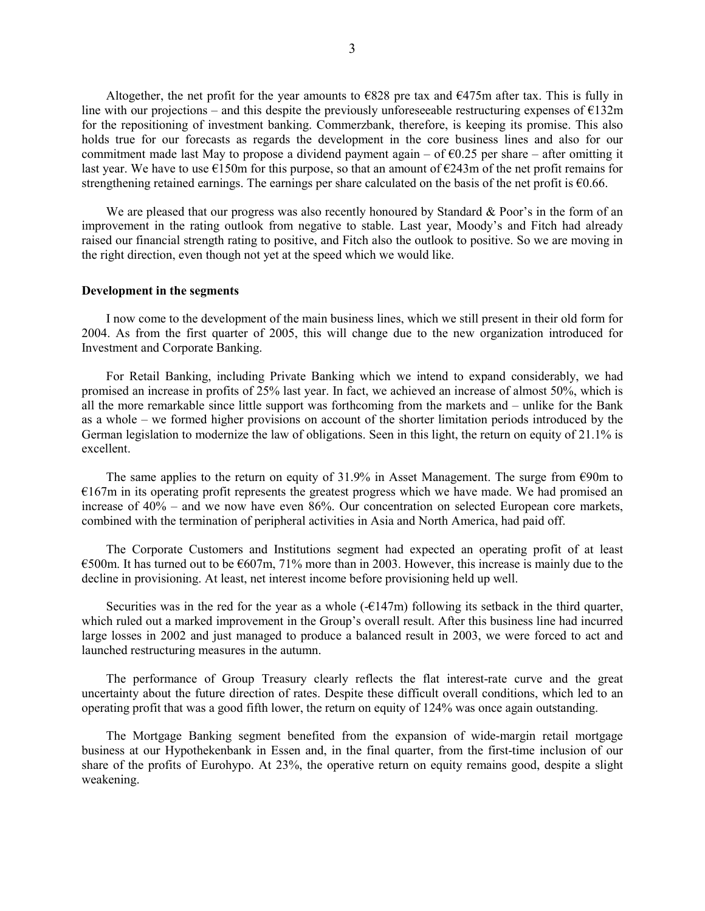Altogether, the net profit for the year amounts to  $E828$  pre tax and  $E475m$  after tax. This is fully in line with our projections – and this despite the previously unforeseeable restructuring expenses of  $\epsilon$ 132m for the repositioning of investment banking. Commerzbank, therefore, is keeping its promise. This also holds true for our forecasts as regards the development in the core business lines and also for our commitment made last May to propose a dividend payment again – of  $\epsilon$ 0.25 per share – after omitting it last year. We have to use  $E150m$  for this purpose, so that an amount of  $E243m$  of the net profit remains for strengthening retained earnings. The earnings per share calculated on the basis of the net profit is  $\epsilon$ 0.66.

We are pleased that our progress was also recently honoured by Standard  $\&$  Poor's in the form of an improvement in the rating outlook from negative to stable. Last year, Moody's and Fitch had already raised our financial strength rating to positive, and Fitch also the outlook to positive. So we are moving in the right direction, even though not yet at the speed which we would like.

## **Development in the segments**

I now come to the development of the main business lines, which we still present in their old form for 2004. As from the first quarter of 2005, this will change due to the new organization introduced for Investment and Corporate Banking.

For Retail Banking, including Private Banking which we intend to expand considerably, we had promised an increase in profits of 25% last year. In fact, we achieved an increase of almost 50%, which is all the more remarkable since little support was forthcoming from the markets and  $-$  unlike for the Bank as a whole – we formed higher provisions on account of the shorter limitation periods introduced by the German legislation to modernize the law of obligations. Seen in this light, the return on equity of 21.1% is excellent.

The same applies to the return on equity of 31.9% in Asset Management. The surge from  $\epsilon$ 90m to  $E167m$  in its operating profit represents the greatest progress which we have made. We had promised an increase of  $40\%$  – and we now have even 86%. Our concentration on selected European core markets, combined with the termination of peripheral activities in Asia and North America, had paid off.

The Corporate Customers and Institutions segment had expected an operating profit of at least  $\epsilon$ 500m. It has turned out to be  $\epsilon$ 607m, 71% more than in 2003. However, this increase is mainly due to the decline in provisioning. At least, net interest income before provisioning held up well.

Securities was in the red for the year as a whole  $(-E147m)$  following its setback in the third quarter, which ruled out a marked improvement in the Group's overall result. After this business line had incurred large losses in 2002 and just managed to produce a balanced result in 2003, we were forced to act and launched restructuring measures in the autumn.

The performance of Group Treasury clearly reflects the flat interest-rate curve and the great uncertainty about the future direction of rates. Despite these difficult overall conditions, which led to an operating profit that was a good fifth lower, the return on equity of 124% was once again outstanding.

The Mortgage Banking segment benefited from the expansion of wide-margin retail mortgage business at our Hypothekenbank in Essen and, in the final quarter, from the first-time inclusion of our share of the profits of Eurohypo. At 23%, the operative return on equity remains good, despite a slight weakening.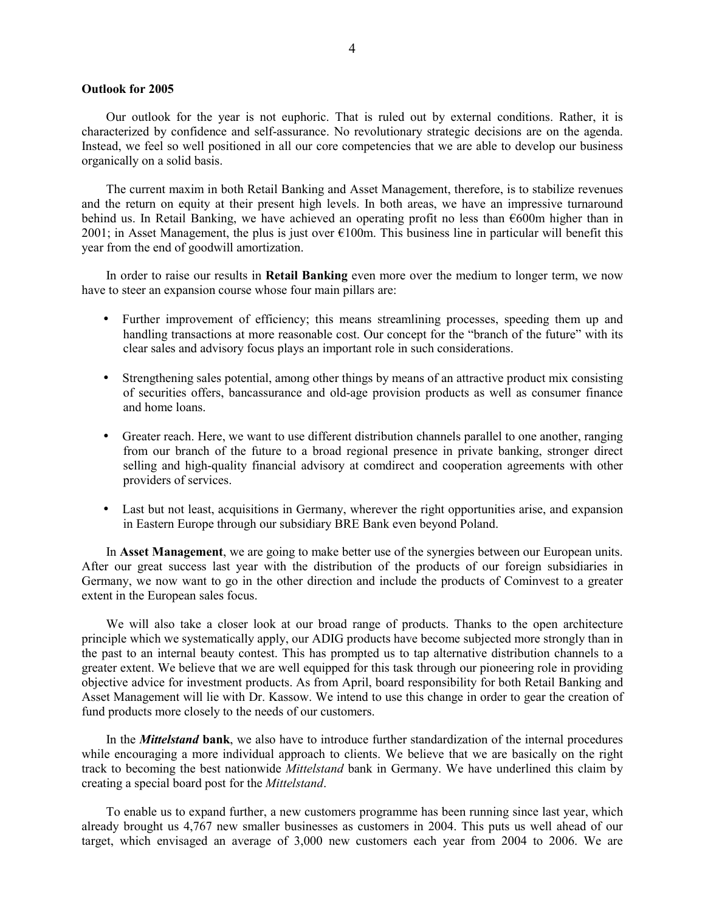## **Outlook for 2005**

Our outlook for the year is not euphoric. That is ruled out by external conditions. Rather, it is characterized by confidence and self-assurance. No revolutionary strategic decisions are on the agenda. Instead, we feel so well positioned in all our core competencies that we are able to develop our business organically on a solid basis.

The current maxim in both Retail Banking and Asset Management, therefore, is to stabilize revenues and the return on equity at their present high levels. In both areas, we have an impressive turnaround behind us. In Retail Banking, we have achieved an operating profit no less than  $\epsilon$ 600m higher than in 2001; in Asset Management, the plus is just over  $\epsilon$ 100m. This business line in particular will benefit this year from the end of goodwill amortization.

In order to raise our results in **Retail Banking** even more over the medium to longer term, we now have to steer an expansion course whose four main pillars are:

- Further improvement of efficiency; this means streamlining processes, speeding them up and handling transactions at more reasonable cost. Our concept for the "branch of the future" with its clear sales and advisory focus plays an important role in such considerations.
- Strengthening sales potential, among other things by means of an attractive product mix consisting of securities offers, bancassurance and old-age provision products as well as consumer finance and home loans.
- Greater reach. Here, we want to use different distribution channels parallel to one another, ranging from our branch of the future to a broad regional presence in private banking, stronger direct selling and high-quality financial advisory at comdirect and cooperation agreements with other providers of services.
- Last but not least, acquisitions in Germany, wherever the right opportunities arise, and expansion in Eastern Europe through our subsidiary BRE Bank even beyond Poland.

In **Asset Management**, we are going to make better use of the synergies between our European units. After our great success last year with the distribution of the products of our foreign subsidiaries in Germany, we now want to go in the other direction and include the products of Cominvest to a greater extent in the European sales focus.

We will also take a closer look at our broad range of products. Thanks to the open architecture principle which we systematically apply, our ADIG products have become subjected more strongly than in the past to an internal beauty contest. This has prompted us to tap alternative distribution channels to a greater extent. We believe that we are well equipped for this task through our pioneering role in providing objective advice for investment products. As from April, board responsibility for both Retail Banking and Asset Management will lie with Dr. Kassow. We intend to use this change in order to gear the creation of fund products more closely to the needs of our customers.

In the *Mittelstand* **bank**, we also have to introduce further standardization of the internal procedures while encouraging a more individual approach to clients. We believe that we are basically on the right track to becoming the best nationwide *Mittelstand* bank in Germany. We have underlined this claim by creating a special board post for the *Mittelstand*.

To enable us to expand further, a new customers programme has been running since last year, which already brought us 4,767 new smaller businesses as customers in 2004. This puts us well ahead of our target, which envisaged an average of 3,000 new customers each year from 2004 to 2006. We are